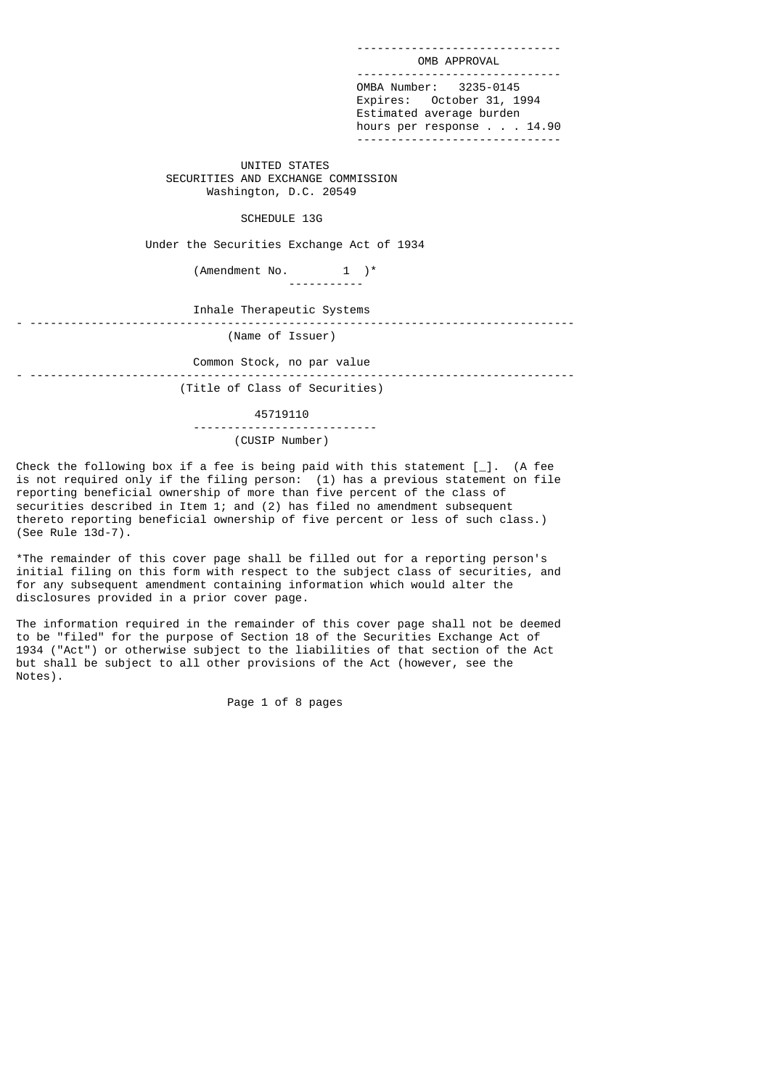OMB APPROVAL ------------------------------ OMBA Number: 3235-0145 Expires: October 31, 1994 Estimated average burden hours per response . . . 14.90 ------------------------------

------------------------------

 UNITED STATES SECURITIES AND EXCHANGE COMMISSION Washington, D.C. 20549

# SCHEDULE 13G

Under the Securities Exchange Act of 1934

(Amendment No.  $1$  )\* -----------

 Inhale Therapeutic Systems - --------------------------------------------------------------------------------

(Name of Issuer)

 Common Stock, no par value - --------------------------------------------------------------------------------

(Title of Class of Securities)

 45719110 --------------------------- (CUSIP Number)

Check the following box if a fee is being paid with this statement [\_]. (A fee is not required only if the filing person: (1) has a previous statement on file reporting beneficial ownership of more than five percent of the class of securities described in Item 1; and (2) has filed no amendment subsequent thereto reporting beneficial ownership of five percent or less of such class.) (See Rule 13d-7).

\*The remainder of this cover page shall be filled out for a reporting person's initial filing on this form with respect to the subject class of securities, and for any subsequent amendment containing information which would alter the disclosures provided in a prior cover page.

The information required in the remainder of this cover page shall not be deemed to be "filed" for the purpose of Section 18 of the Securities Exchange Act of 1934 ("Act") or otherwise subject to the liabilities of that section of the Act but shall be subject to all other provisions of the Act (however, see the Notes).

Page 1 of 8 pages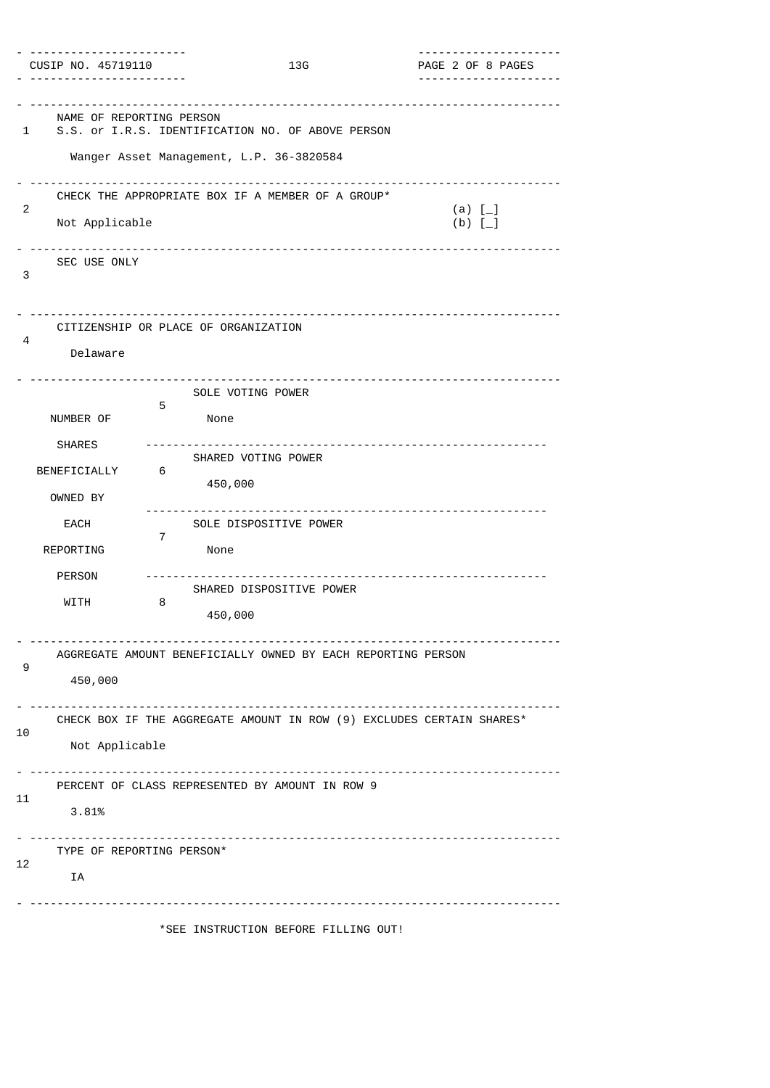| CUSIP NO. 45719110                                     |                                                                                               | 13G                                                | PAGE 2 OF 8 PAGES<br>. <u>.</u> .                                     |
|--------------------------------------------------------|-----------------------------------------------------------------------------------------------|----------------------------------------------------|-----------------------------------------------------------------------|
| NAME OF REPORTING PERSON<br>1                          | S.S. or I.R.S. IDENTIFICATION NO. OF ABOVE PERSON<br>Wanger Asset Management, L.P. 36-3820584 |                                                    | -------------------------------------                                 |
| 2<br>Not Applicable<br>SEC USE ONLY                    | CHECK THE APPROPRIATE BOX IF A MEMBER OF A GROUP*                                             |                                                    | (a) $[-]$<br>(b) $\overline{L}$ ]                                     |
| 3<br>4<br>Delaware                                     | CITIZENSHIP OR PLACE OF ORGANIZATION                                                          |                                                    |                                                                       |
| NUMBER OF<br><b>SHARES</b><br>BENEFICIALLY<br>OWNED BY | SOLE VOTING POWER<br>5<br>None<br>SHARED VOTING POWER<br>6<br>450,000                         |                                                    |                                                                       |
| EACH<br>REPORTING<br><b>PERSON</b><br>WITH             | 7<br>None<br>8<br>450,000                                                                     | SOLE DISPOSITIVE POWER<br>SHARED DISPOSITIVE POWER |                                                                       |
| 9<br>450,000                                           | AGGREGATE AMOUNT BENEFICIALLY OWNED BY EACH REPORTING PERSON                                  |                                                    |                                                                       |
| 10<br>Not Applicable                                   |                                                                                               |                                                    | CHECK BOX IF THE AGGREGATE AMOUNT IN ROW (9) EXCLUDES CERTAIN SHARES* |
| 11<br>3.81%                                            | PERCENT OF CLASS REPRESENTED BY AMOUNT IN ROW 9                                               |                                                    |                                                                       |
| TYPE OF REPORTING PERSON*<br>12<br>IA                  |                                                                                               |                                                    |                                                                       |
|                                                        | *SEE INSTRUCTION BEFORE FILLING OUT!                                                          |                                                    |                                                                       |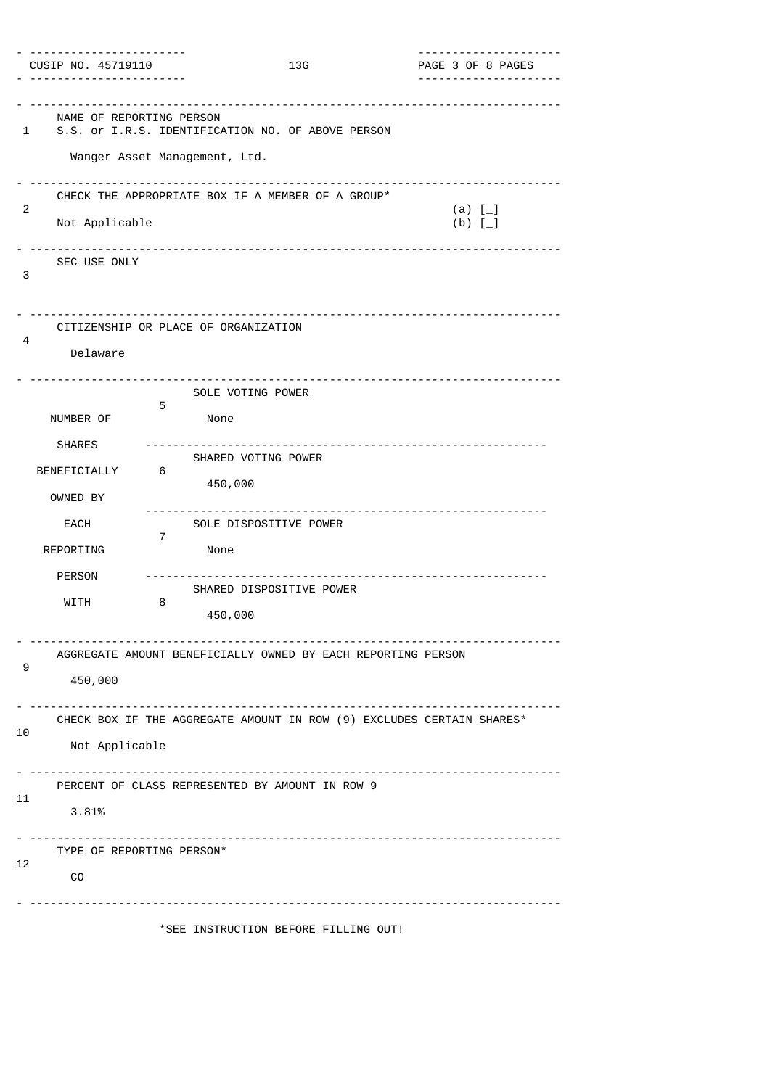| CUSIP NO. 45719110                                     |                                                                                                             | 13G                                                | ---------------------<br>PAGE 3 OF 8 PAGES<br>. <u>.</u> .            |
|--------------------------------------------------------|-------------------------------------------------------------------------------------------------------------|----------------------------------------------------|-----------------------------------------------------------------------|
| NAME OF REPORTING PERSON<br>1                          | ---------------------<br>S.S. or I.R.S. IDENTIFICATION NO. OF ABOVE PERSON<br>Wanger Asset Management, Ltd. |                                                    |                                                                       |
| 2<br>Not Applicable<br>SEC USE ONLY<br>3               | CHECK THE APPROPRIATE BOX IF A MEMBER OF A GROUP*                                                           |                                                    | (a) $[-]$<br>(b) $\overline{L}$ ]                                     |
| 4<br>Delaware                                          | CITIZENSHIP OR PLACE OF ORGANIZATION                                                                        |                                                    |                                                                       |
| NUMBER OF<br><b>SHARES</b><br>BENEFICIALLY<br>OWNED BY | SOLE VOTING POWER<br>5<br>None<br>SHARED VOTING POWER<br>6<br>450,000                                       |                                                    |                                                                       |
| EACH<br>REPORTING<br><b>PERSON</b><br>WITH             | 7<br>None<br>8<br>450,000                                                                                   | SOLE DISPOSITIVE POWER<br>SHARED DISPOSITIVE POWER |                                                                       |
| 9<br>450,000                                           | AGGREGATE AMOUNT BENEFICIALLY OWNED BY EACH REPORTING PERSON                                                |                                                    |                                                                       |
| 10<br>Not Applicable                                   |                                                                                                             |                                                    | CHECK BOX IF THE AGGREGATE AMOUNT IN ROW (9) EXCLUDES CERTAIN SHARES* |
| 11<br>3.81%                                            | PERCENT OF CLASS REPRESENTED BY AMOUNT IN ROW 9                                                             |                                                    |                                                                       |
| TYPE OF REPORTING PERSON*<br>12<br>CO                  |                                                                                                             |                                                    |                                                                       |
|                                                        | *SEE INSTRUCTION BEFORE FILLING OUT!                                                                        |                                                    |                                                                       |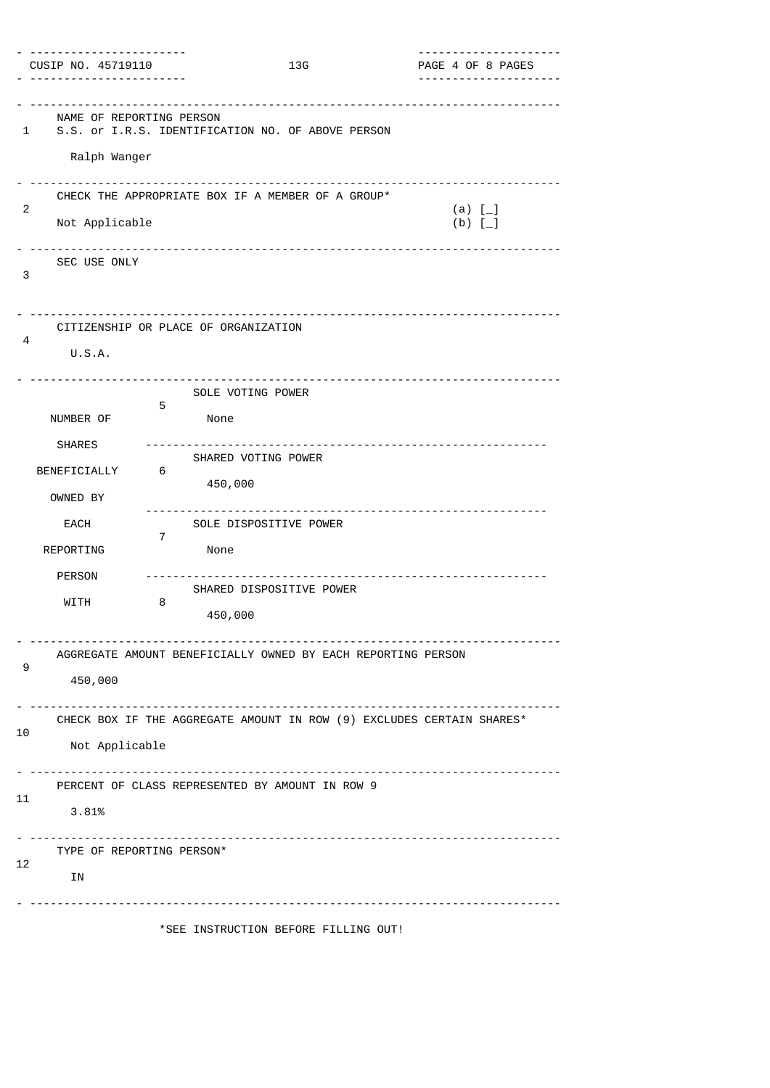| CUSIP NO. 45719110                            |                                                                       | 13G | ---------------------<br>PAGE 4 OF 8 PAGES |
|-----------------------------------------------|-----------------------------------------------------------------------|-----|--------------------------------------------|
| NAME OF REPORTING PERSON<br>1<br>Ralph Wanger | S.S. or I.R.S. IDENTIFICATION NO. OF ABOVE PERSON                     |     |                                            |
| 2<br>Not Applicable                           | CHECK THE APPROPRIATE BOX IF A MEMBER OF A GROUP*                     |     | (a) $[-]$<br>(b) $\bar{1}$                 |
| SEC USE ONLY<br>3                             |                                                                       |     |                                            |
| 4<br>U.S.A.                                   | CITIZENSHIP OR PLACE OF ORGANIZATION                                  |     |                                            |
| NUMBER OF                                     | SOLE VOTING POWER<br>5<br>None                                        |     |                                            |
| <b>SHARES</b><br>BENEFICIALLY<br>OWNED BY     | SHARED VOTING POWER<br>6<br>450,000                                   |     |                                            |
| EACH<br>REPORTING                             | SOLE DISPOSITIVE POWER<br>7<br>None                                   |     |                                            |
| <b>PERSON</b><br>WITH                         | SHARED DISPOSITIVE POWER<br>8<br>450,000                              |     |                                            |
| 9<br>450,000                                  | AGGREGATE AMOUNT BENEFICIALLY OWNED BY EACH REPORTING PERSON          |     |                                            |
| 10<br>Not Applicable                          | CHECK BOX IF THE AGGREGATE AMOUNT IN ROW (9) EXCLUDES CERTAIN SHARES* |     |                                            |
| 11<br>3.81%                                   | PERCENT OF CLASS REPRESENTED BY AMOUNT IN ROW 9                       |     |                                            |
| TYPE OF REPORTING PERSON*<br>12<br>ΙN         |                                                                       |     |                                            |
|                                               | *SEE INSTRUCTION BEFORE FILLING OUT!                                  |     |                                            |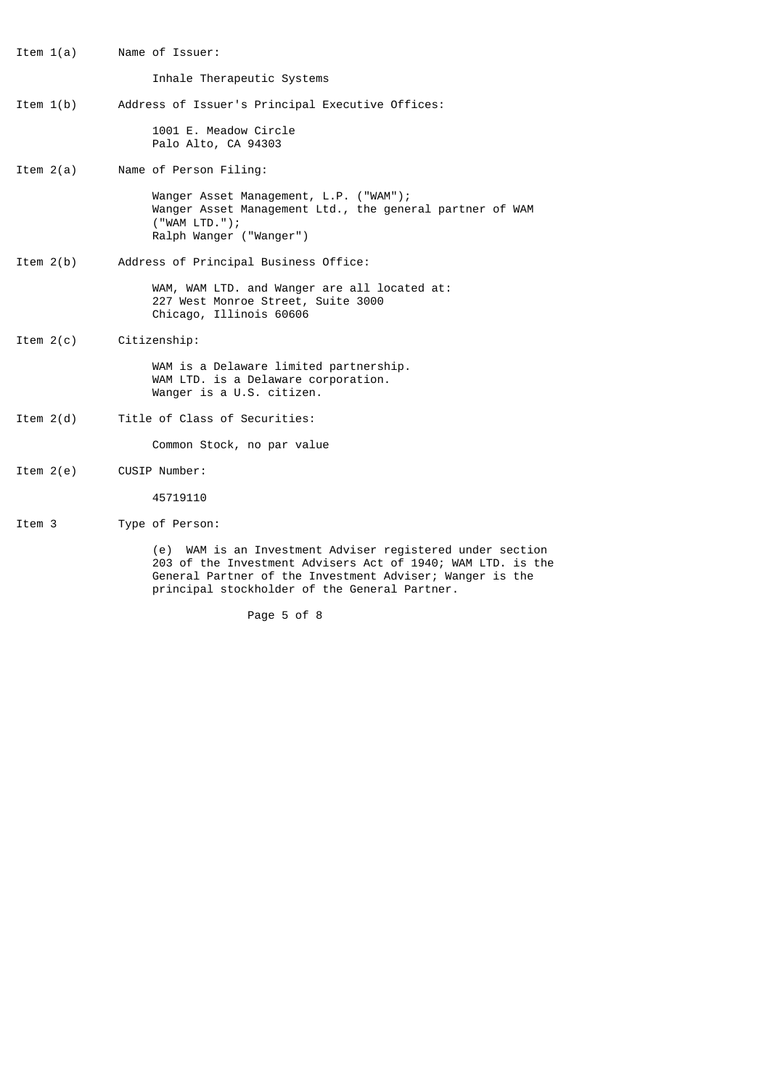Item 1(a) Name of Issuer: Inhale Therapeutic Systems Item 1(b) Address of Issuer's Principal Executive Offices: 1001 E. Meadow Circle Palo Alto, CA 94303 Item 2(a) Name of Person Filing: Wanger Asset Management, L.P. ("WAM"); Wanger Asset Management Ltd., the general partner of WAM ("WAM LTD."); Ralph Wanger ("Wanger") Item 2(b) Address of Principal Business Office: WAM, WAM LTD. and Wanger are all located at: 227 West Monroe Street, Suite 3000 Chicago, Illinois 60606 Item 2(c) Citizenship: WAM is a Delaware limited partnership. WAM LTD. is a Delaware corporation. Wanger is a U.S. citizen. Item 2(d) Title of Class of Securities: Common Stock, no par value Item 2(e) CUSIP Number: 45719110 Item 3 Type of Person:

> (e) WAM is an Investment Adviser registered under section 203 of the Investment Advisers Act of 1940; WAM LTD. is the General Partner of the Investment Adviser; Wanger is the principal stockholder of the General Partner.

> > Page 5 of 8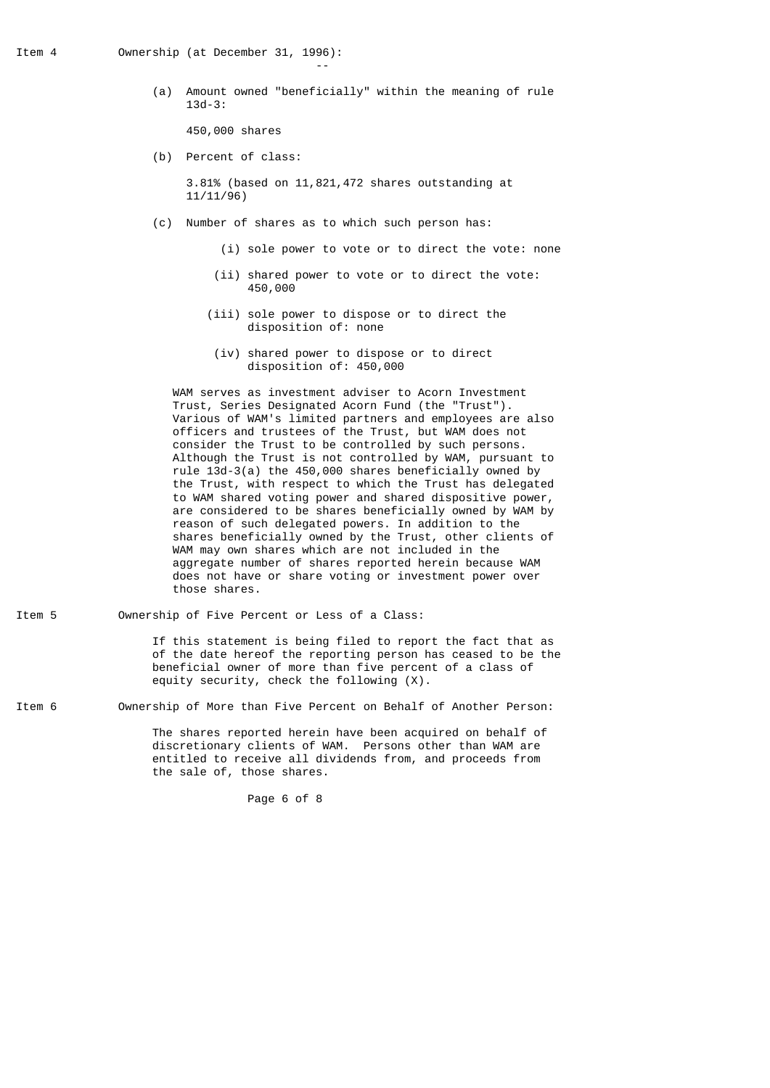the contract of the contract of the contract of the contract of the contract of the contract of the contract of

 (a) Amount owned "beneficially" within the meaning of rule 13d-3:

450,000 shares

(b) Percent of class:

 3.81% (based on 11,821,472 shares outstanding at 11/11/96)

- (c) Number of shares as to which such person has:
	- (i) sole power to vote or to direct the vote: none
	- (ii) shared power to vote or to direct the vote: 450,000
	- (iii) sole power to dispose or to direct the disposition of: none
	- (iv) shared power to dispose or to direct disposition of: 450,000

 WAM serves as investment adviser to Acorn Investment Trust, Series Designated Acorn Fund (the "Trust"). Various of WAM's limited partners and employees are also officers and trustees of the Trust, but WAM does not consider the Trust to be controlled by such persons. Although the Trust is not controlled by WAM, pursuant to rule 13d-3(a) the 450,000 shares beneficially owned by the Trust, with respect to which the Trust has delegated to WAM shared voting power and shared dispositive power, are considered to be shares beneficially owned by WAM by reason of such delegated powers. In addition to the shares beneficially owned by the Trust, other clients of WAM may own shares which are not included in the aggregate number of shares reported herein because WAM does not have or share voting or investment power over those shares.

Item 5 Ownership of Five Percent or Less of a Class: If this statement is being filed to report the fact that as of the date hereof the reporting person has ceased to be the beneficial owner of more than five percent of a class of

Item 6 Ownership of More than Five Percent on Behalf of Another Person:

equity security, check the following (X).

 The shares reported herein have been acquired on behalf of discretionary clients of WAM. Persons other than WAM are entitled to receive all dividends from, and proceeds from the sale of, those shares.

Page 6 of 8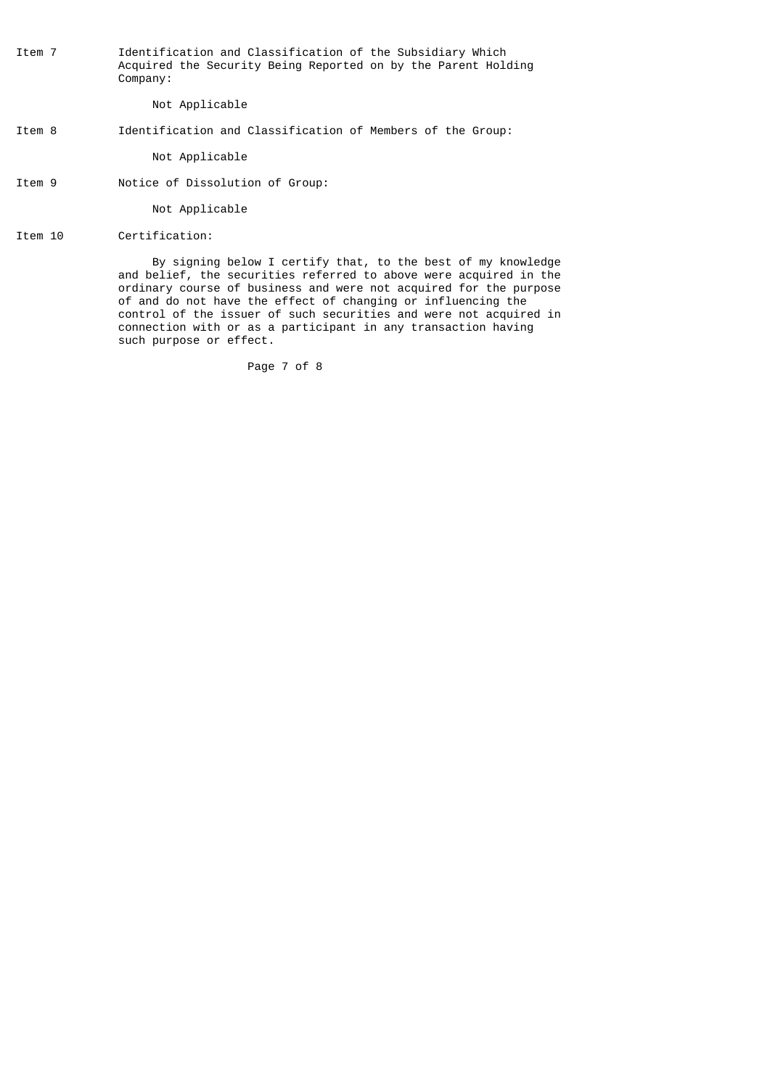Item 7 Identification and Classification of the Subsidiary Which Acquired the Security Being Reported on by the Parent Holding Company:

Not Applicable

### Item 8 Identification and Classification of Members of the Group:

Not Applicable

Item 9 Notice of Dissolution of Group:

Not Applicable

Item 10 Certification:

 By signing below I certify that, to the best of my knowledge and belief, the securities referred to above were acquired in the ordinary course of business and were not acquired for the purpose of and do not have the effect of changing or influencing the control of the issuer of such securities and were not acquired in connection with or as a participant in any transaction having such purpose or effect.

Page 7 of 8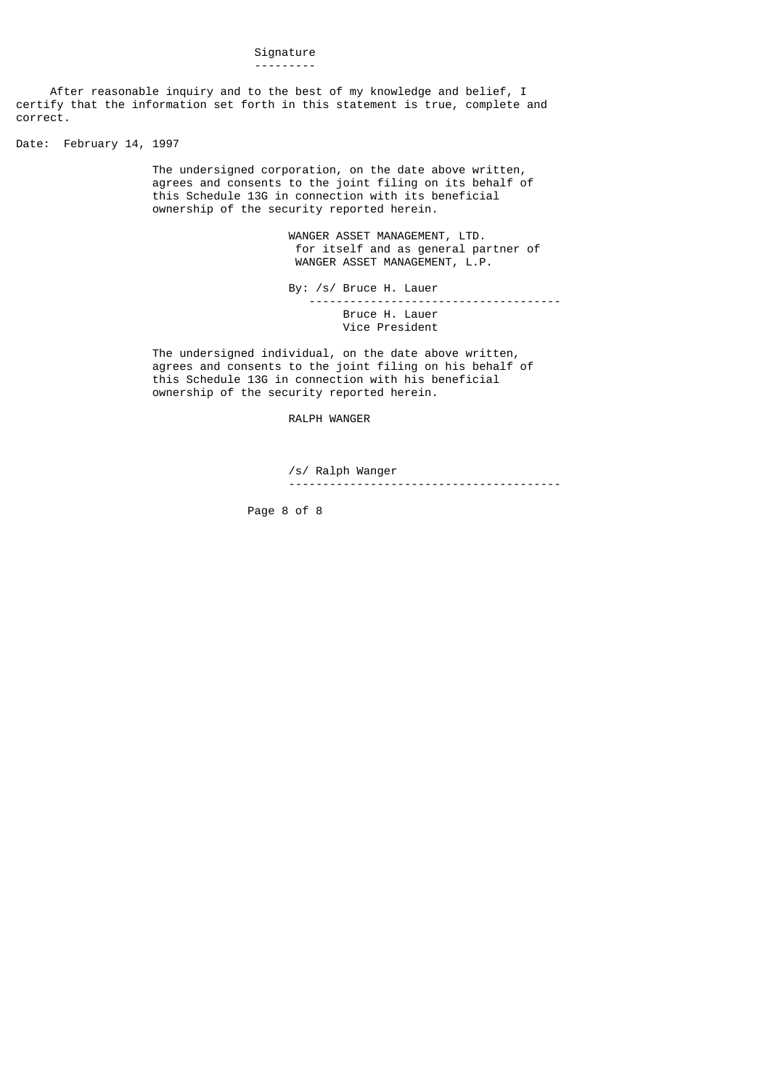#### Signature ---------

 After reasonable inquiry and to the best of my knowledge and belief, I certify that the information set forth in this statement is true, complete and correct.

Date: February 14, 1997

 The undersigned corporation, on the date above written, agrees and consents to the joint filing on its behalf of this Schedule 13G in connection with its beneficial ownership of the security reported herein.

> WANGER ASSET MANAGEMENT, LTD. for itself and as general partner of WANGER ASSET MANAGEMENT, L.P.

 By: /s/ Bruce H. Lauer ------------------------------------- Bruce H. Lauer Vice President

 The undersigned individual, on the date above written, agrees and consents to the joint filing on his behalf of this Schedule 13G in connection with his beneficial ownership of the security reported herein.

## RALPH WANGER

 /s/ Ralph Wanger ----------------------------------------

Page 8 of 8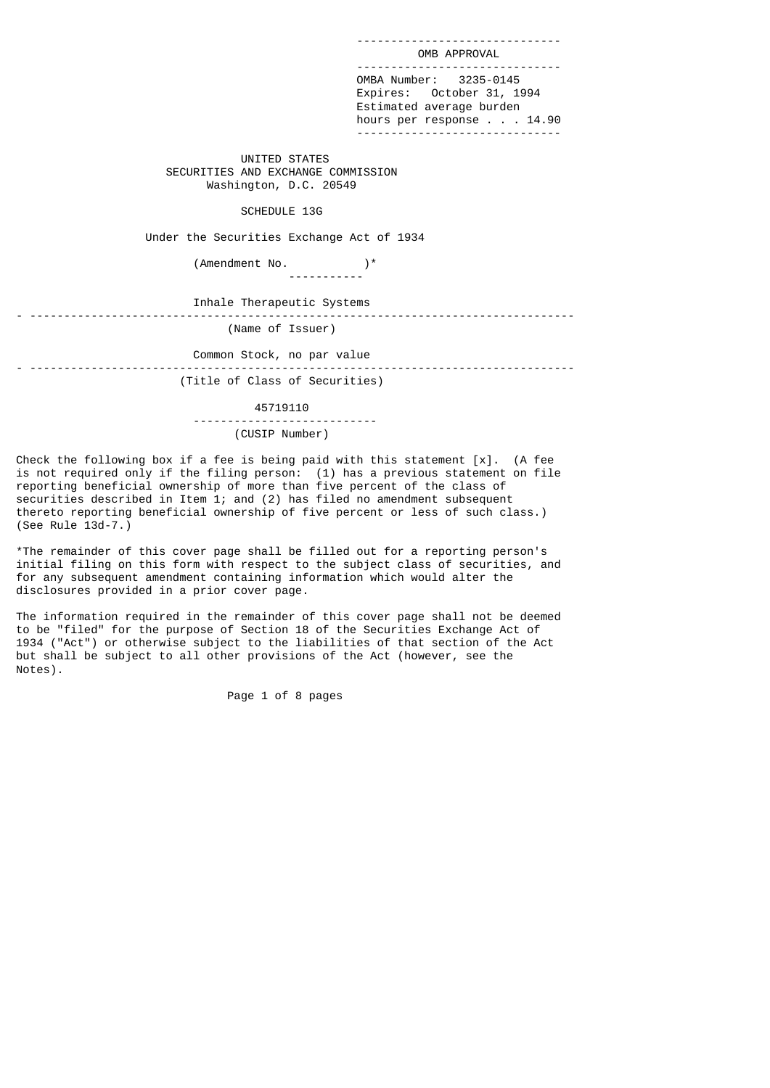OMB APPROVAL ------------------------------ OMBA Number: 3235-0145 Expires: October 31, 1994 Estimated average burden hours per response . . . 14.90 ------------------------------

------------------------------

 UNITED STATES SECURITIES AND EXCHANGE COMMISSION Washington, D.C. 20549

### SCHEDULE 13G

Under the Securities Exchange Act of 1934

 (Amendment No. )\* -----------

 Inhale Therapeutic Systems - --------------------------------------------------------------------------------

(Name of Issuer)

Common Stock, no par value

- -------------------------------------------------------------------------------- (Title of Class of Securities)

 45719110 --------------------------- (CUSIP Number)

Check the following box if a fee is being paid with this statement  $[x]$ . (A fee is not required only if the filing person: (1) has a previous statement on file reporting beneficial ownership of more than five percent of the class of securities described in Item 1; and (2) has filed no amendment subsequent thereto reporting beneficial ownership of five percent or less of such class.) (See Rule 13d-7.)

\*The remainder of this cover page shall be filled out for a reporting person's initial filing on this form with respect to the subject class of securities, and for any subsequent amendment containing information which would alter the disclosures provided in a prior cover page.

The information required in the remainder of this cover page shall not be deemed to be "filed" for the purpose of Section 18 of the Securities Exchange Act of 1934 ("Act") or otherwise subject to the liabilities of that section of the Act but shall be subject to all other provisions of the Act (however, see the Notes).

Page 1 of 8 pages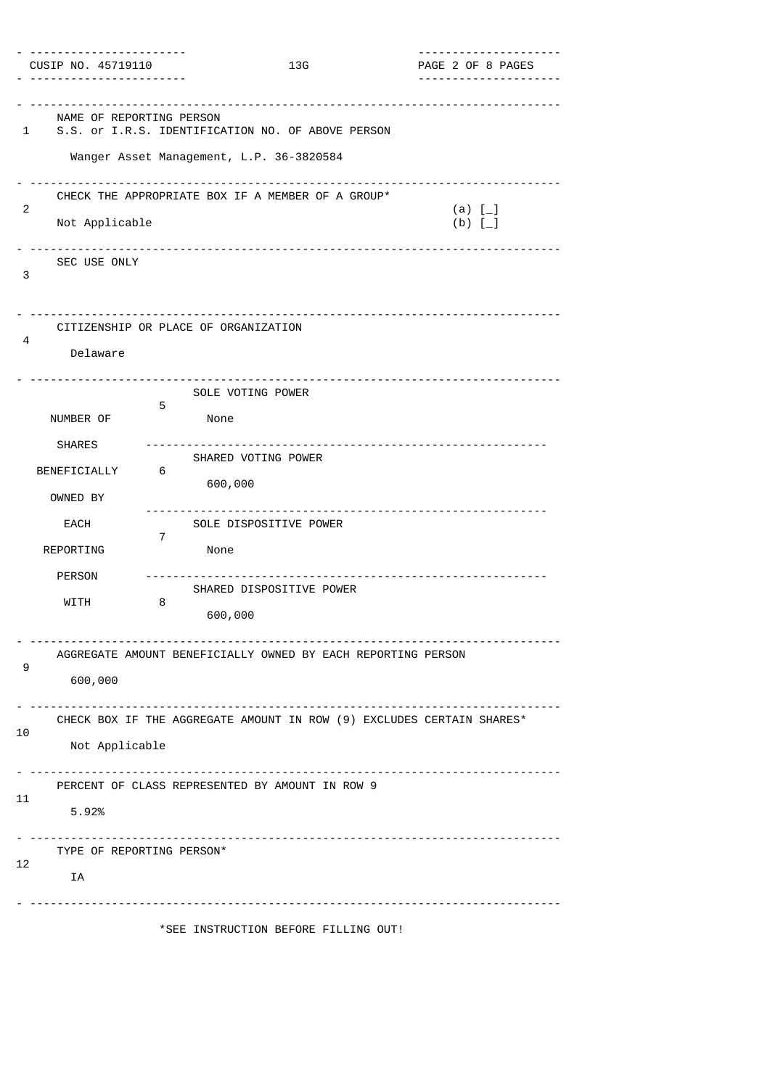| CUSIP NO. 45719110                                     |                                                | 13G                                                          | ---------------------<br>PAGE 2 OF 8 PAGES<br>. <u>.</u> .            |
|--------------------------------------------------------|------------------------------------------------|--------------------------------------------------------------|-----------------------------------------------------------------------|
| NAME OF REPORTING PERSON<br>1                          | Wanger Asset Management, L.P. 36-3820584       | S.S. or I.R.S. IDENTIFICATION NO. OF ABOVE PERSON            | -------------------------------------                                 |
| 2<br>Not Applicable<br>SEC USE ONLY<br>3               |                                                | CHECK THE APPROPRIATE BOX IF A MEMBER OF A GROUP*            | (a) $[-]$<br>(b) $\overline{L}$ ]                                     |
| 4<br>Delaware                                          | CITIZENSHIP OR PLACE OF ORGANIZATION           |                                                              |                                                                       |
| NUMBER OF<br><b>SHARES</b><br>BENEFICIALLY<br>OWNED BY | SOLE VOTING POWER<br>5<br>None<br>6<br>600,000 | SHARED VOTING POWER                                          |                                                                       |
| EACH<br>REPORTING<br><b>PERSON</b><br>WITH             | 7<br>None<br>8<br>600,000                      | SOLE DISPOSITIVE POWER<br>SHARED DISPOSITIVE POWER           |                                                                       |
| 9<br>600,000                                           |                                                | AGGREGATE AMOUNT BENEFICIALLY OWNED BY EACH REPORTING PERSON |                                                                       |
| 10<br>Not Applicable                                   |                                                |                                                              | CHECK BOX IF THE AGGREGATE AMOUNT IN ROW (9) EXCLUDES CERTAIN SHARES* |
| 11<br>5.92%                                            |                                                | PERCENT OF CLASS REPRESENTED BY AMOUNT IN ROW 9              |                                                                       |
| TYPE OF REPORTING PERSON*<br>12<br>IA                  |                                                |                                                              |                                                                       |
|                                                        |                                                | *SEE INSTRUCTION BEFORE FILLING OUT!                         |                                                                       |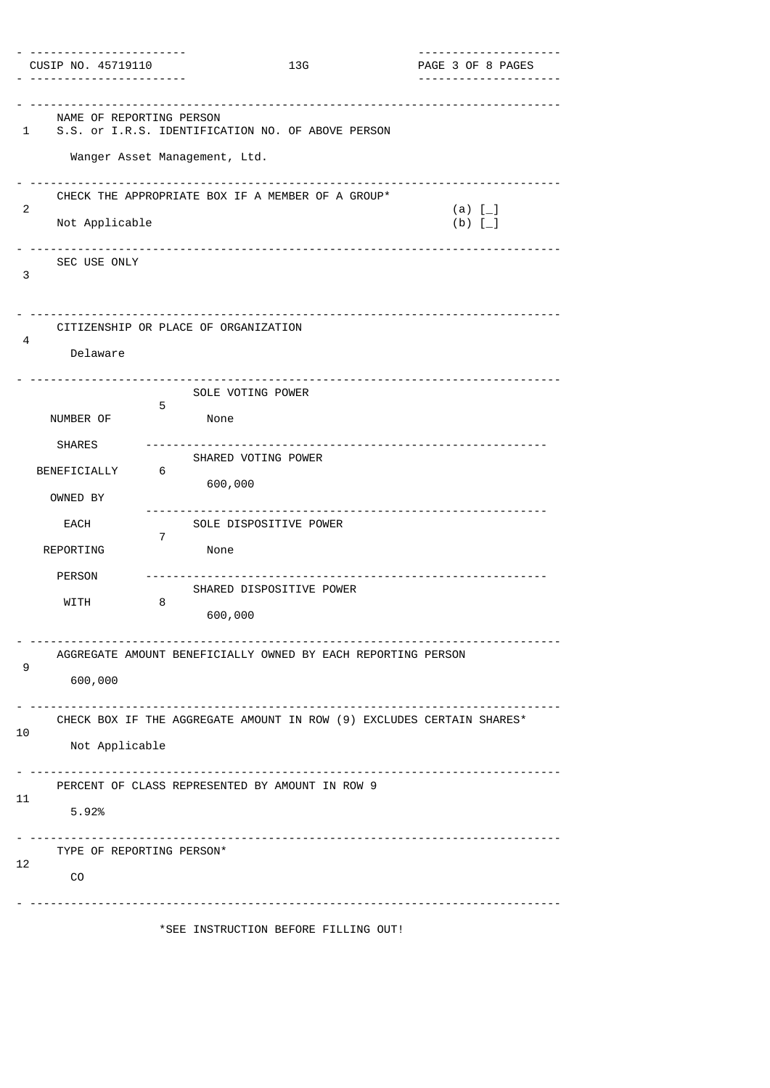| CUSIP NO. 45719110                        |                                                                                    | 13G | ---------------------<br>PAGE 3 OF 8 PAGES<br>. <u>.</u> . |
|-------------------------------------------|------------------------------------------------------------------------------------|-----|------------------------------------------------------------|
| NAME OF REPORTING PERSON<br>1             | S.S. or I.R.S. IDENTIFICATION NO. OF ABOVE PERSON<br>Wanger Asset Management, Ltd. |     |                                                            |
| 2<br>Not Applicable                       | CHECK THE APPROPRIATE BOX IF A MEMBER OF A GROUP*                                  |     | (a) $[-]$<br>(b) $\overline{L}$ ]                          |
| SEC USE ONLY<br>3                         |                                                                                    |     |                                                            |
| 4<br>Delaware                             | CITIZENSHIP OR PLACE OF ORGANIZATION                                               |     |                                                            |
| NUMBER OF                                 | SOLE VOTING POWER<br>5<br>None                                                     |     |                                                            |
| <b>SHARES</b><br>BENEFICIALLY<br>OWNED BY | SHARED VOTING POWER<br>6<br>600,000                                                |     |                                                            |
| EACH<br>REPORTING                         | SOLE DISPOSITIVE POWER<br>7<br>None                                                |     |                                                            |
| <b>PERSON</b><br>WITH                     | SHARED DISPOSITIVE POWER<br>8<br>600,000                                           |     |                                                            |
| 9<br>600,000                              | AGGREGATE AMOUNT BENEFICIALLY OWNED BY EACH REPORTING PERSON                       |     |                                                            |
| 10<br>Not Applicable                      | CHECK BOX IF THE AGGREGATE AMOUNT IN ROW (9) EXCLUDES CERTAIN SHARES*              |     |                                                            |
| 11<br>5.92%                               | PERCENT OF CLASS REPRESENTED BY AMOUNT IN ROW 9                                    |     |                                                            |
| TYPE OF REPORTING PERSON*<br>12<br>CO     |                                                                                    |     |                                                            |
|                                           | *SEE INSTRUCTION BEFORE FILLING OUT!                                               |     |                                                            |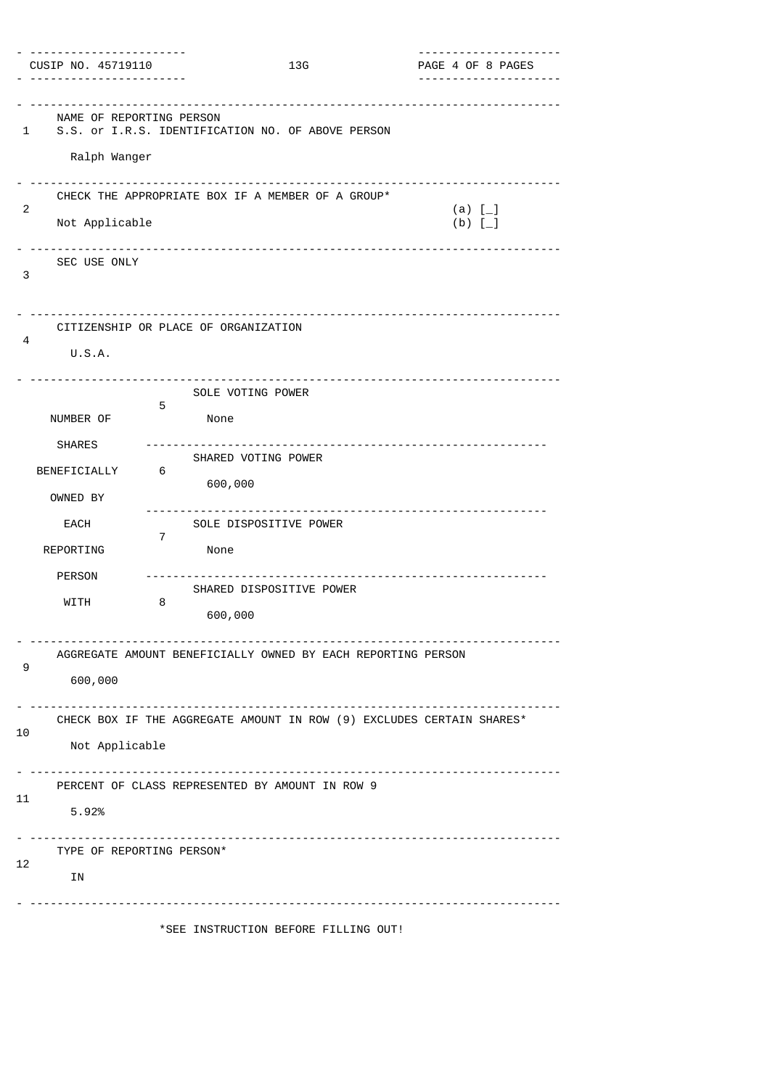| CUSIP NO. 45719110                            |                                                              | 13G | PAGE 4 OF 8 PAGES                                                     |
|-----------------------------------------------|--------------------------------------------------------------|-----|-----------------------------------------------------------------------|
| NAME OF REPORTING PERSON<br>1<br>Ralph Wanger | S.S. or I.R.S. IDENTIFICATION NO. OF ABOVE PERSON            |     |                                                                       |
| 2<br>Not Applicable                           | CHECK THE APPROPRIATE BOX IF A MEMBER OF A GROUP*            |     | (a) $[-]$<br>(b) $\bar{1}$                                            |
| SEC USE ONLY<br>3                             |                                                              |     |                                                                       |
| 4<br>U.S.A.                                   | CITIZENSHIP OR PLACE OF ORGANIZATION                         |     |                                                                       |
| NUMBER OF                                     | SOLE VOTING POWER<br>5<br>None                               |     |                                                                       |
| <b>SHARES</b><br>BENEFICIALLY<br>OWNED BY     | SHARED VOTING POWER<br>6<br>600,000                          |     | -----------------------------------                                   |
| EACH<br>REPORTING                             | SOLE DISPOSITIVE POWER<br>7<br>None                          |     |                                                                       |
| <b>PERSON</b><br>WITH                         | SHARED DISPOSITIVE POWER<br>8<br>600,000                     |     |                                                                       |
| 9<br>600,000                                  | AGGREGATE AMOUNT BENEFICIALLY OWNED BY EACH REPORTING PERSON |     |                                                                       |
| 10<br>Not Applicable                          |                                                              |     | CHECK BOX IF THE AGGREGATE AMOUNT IN ROW (9) EXCLUDES CERTAIN SHARES* |
| 11<br>5.92%                                   | PERCENT OF CLASS REPRESENTED BY AMOUNT IN ROW 9              |     |                                                                       |
| TYPE OF REPORTING PERSON*<br>12<br>ΙN         |                                                              |     |                                                                       |
|                                               | *SEE INSTRUCTION BEFORE FILLING OUT!                         |     |                                                                       |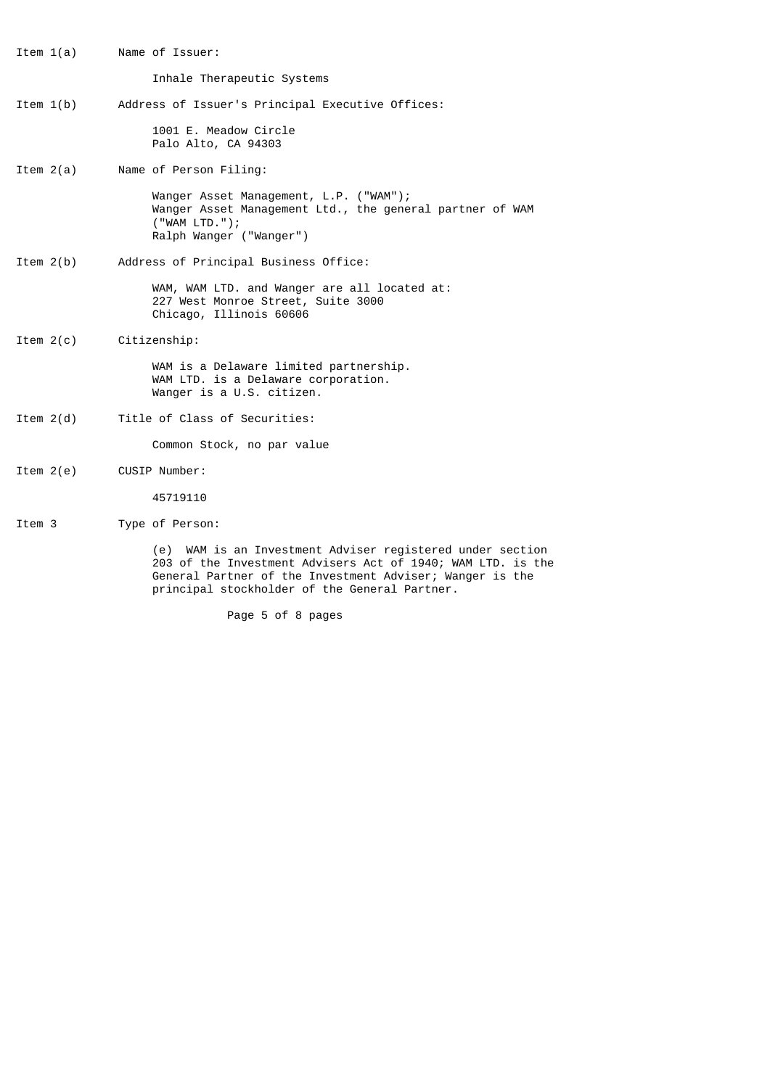- Item 1(a) Name of Issuer: Inhale Therapeutic Systems Item 1(b) Address of Issuer's Principal Executive Offices: 1001 E. Meadow Circle Palo Alto, CA 94303 Item 2(a) Name of Person Filing: Wanger Asset Management, L.P. ("WAM"); Wanger Asset Management Ltd., the general partner of WAM ("WAM LTD."); Ralph Wanger ("Wanger") Item 2(b) Address of Principal Business Office: WAM, WAM LTD. and Wanger are all located at: 227 West Monroe Street, Suite 3000 Chicago, Illinois 60606 Item 2(c) Citizenship: WAM is a Delaware limited partnership. WAM LTD. is a Delaware corporation. Wanger is a U.S. citizen. Item 2(d) Title of Class of Securities: Common Stock, no par value Item 2(e) CUSIP Number: 45719110
	- Item 3 Type of Person:

 (e) WAM is an Investment Adviser registered under section 203 of the Investment Advisers Act of 1940; WAM LTD. is the General Partner of the Investment Adviser; Wanger is the principal stockholder of the General Partner.

Page 5 of 8 pages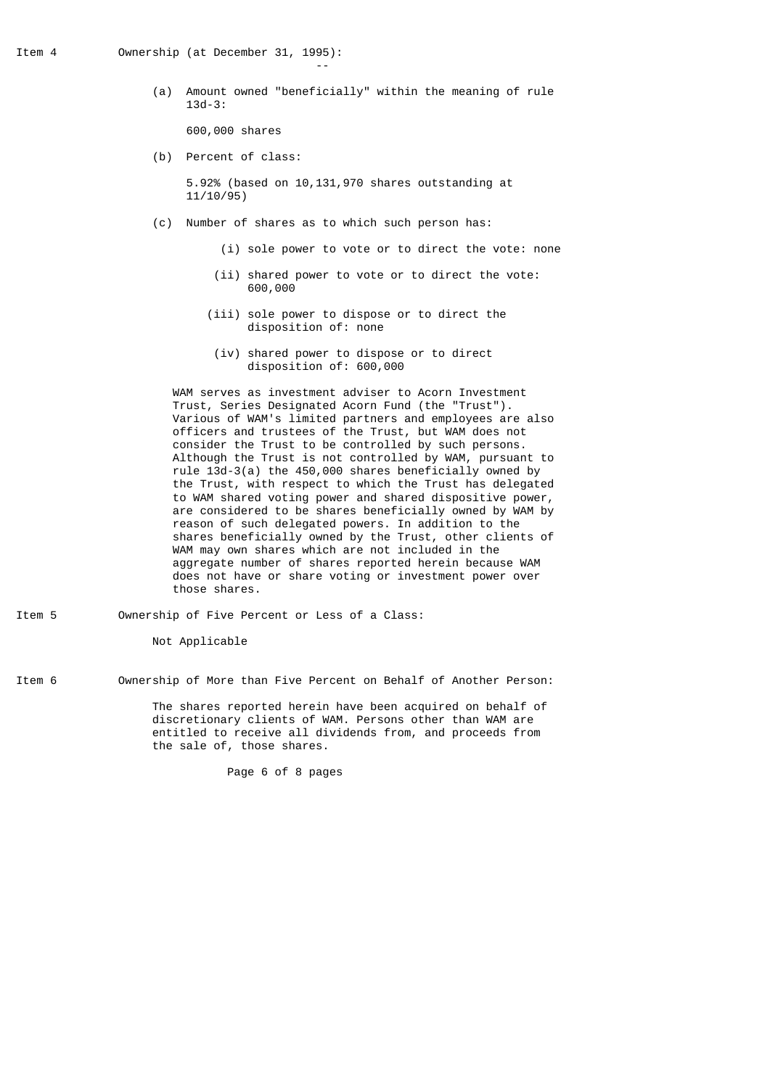the contract of the contract of the contract of the contract of the contract of the contract of the contract of

 (a) Amount owned "beneficially" within the meaning of rule 13d-3:

600,000 shares

(b) Percent of class:

 5.92% (based on 10,131,970 shares outstanding at 11/10/95)

- (c) Number of shares as to which such person has:
	- (i) sole power to vote or to direct the vote: none
	- (ii) shared power to vote or to direct the vote: 600,000
	- (iii) sole power to dispose or to direct the disposition of: none
	- (iv) shared power to dispose or to direct disposition of: 600,000

 WAM serves as investment adviser to Acorn Investment Trust, Series Designated Acorn Fund (the "Trust"). Various of WAM's limited partners and employees are also officers and trustees of the Trust, but WAM does not consider the Trust to be controlled by such persons. Although the Trust is not controlled by WAM, pursuant to rule 13d-3(a) the 450,000 shares beneficially owned by the Trust, with respect to which the Trust has delegated to WAM shared voting power and shared dispositive power, are considered to be shares beneficially owned by WAM by reason of such delegated powers. In addition to the shares beneficially owned by the Trust, other clients of WAM may own shares which are not included in the aggregate number of shares reported herein because WAM does not have or share voting or investment power over those shares.

- Item 5 Ownership of Five Percent or Less of a Class: Not Applicable
- Item 6 Ownership of More than Five Percent on Behalf of Another Person:

 The shares reported herein have been acquired on behalf of discretionary clients of WAM. Persons other than WAM are entitled to receive all dividends from, and proceeds from the sale of, those shares.

Page 6 of 8 pages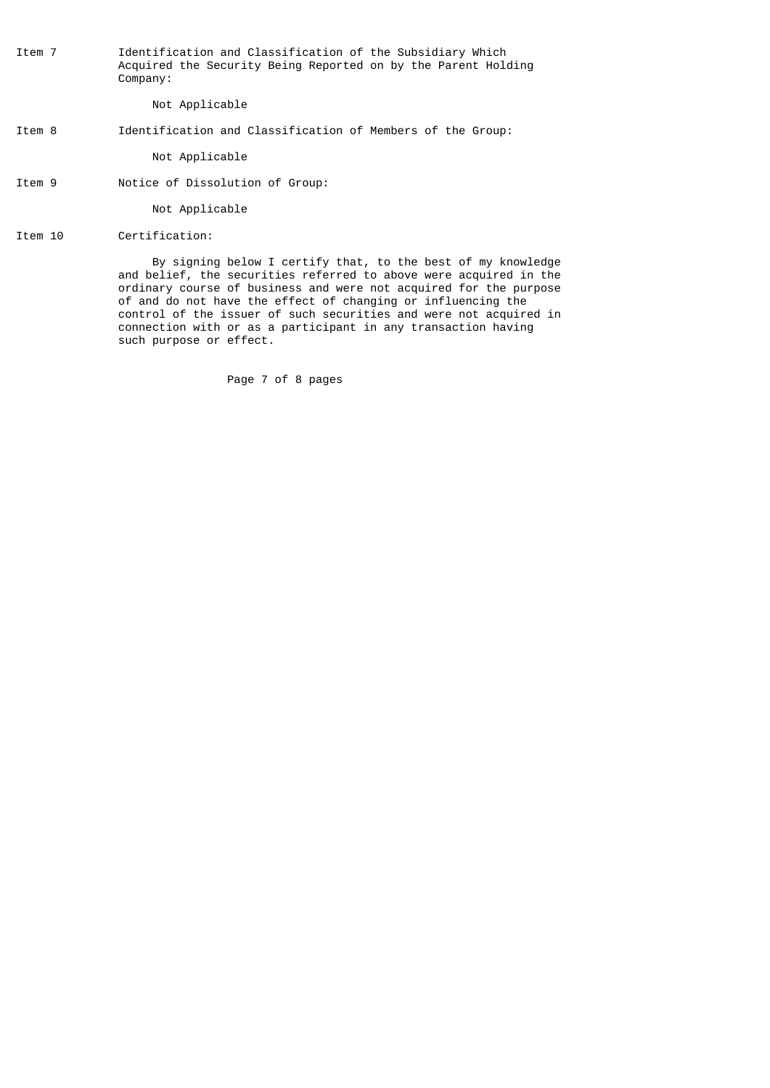Item 7 Identification and Classification of the Subsidiary Which Acquired the Security Being Reported on by the Parent Holding Company:

Not Applicable

### Item 8 Identification and Classification of Members of the Group:

Not Applicable

Item 9 Notice of Dissolution of Group:

Not Applicable

Item 10 Certification:

 By signing below I certify that, to the best of my knowledge and belief, the securities referred to above were acquired in the ordinary course of business and were not acquired for the purpose of and do not have the effect of changing or influencing the control of the issuer of such securities and were not acquired in connection with or as a participant in any transaction having such purpose or effect.

Page 7 of 8 pages